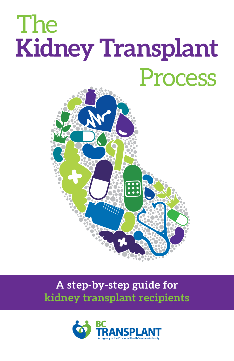# **Kidney Transplant**  The Process



# **A step-by-step guide for kidney transplant recipients**

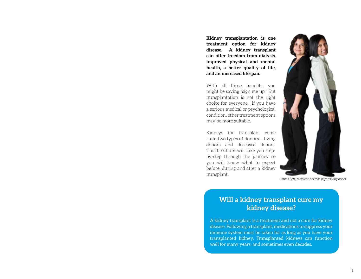**Kidney transplantation is one treatment option for kidney disease. A kidney transplant can offer freedom from dialysis, improved physical and mental health, a better quality of life, and an increased lifespan.** 

With all those benefits, you might be saying "sign me up!" But transplantation is not the right choice for everyone. If you have a serious medical or psychological condition, other treatment options may be more suitable.

Kidneys for transplant come from two types of donors – living donors and deceased donors. This brochure will take you stepby-step through the journey so you will know what to expect before, during and after a kidney transplant.



Fatima (left) recipient, Salimah (right) living donor

### **Will a kidney transplant cure my kidney disease?**

A kidney transplant is a treatment and not a cure for kidney disease. Following a transplant, medications to suppress your immune system must be taken for as long as you have your transplanted kidney. Transplanted kidneys can function well for many years, and sometimes even decades.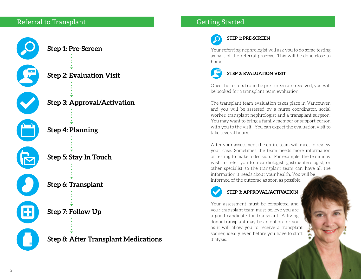## Referral to Transplant





**Step 2: Evaluation Visit**

**Step 3: Approval/Activation**





**Step 5: Stay In Touch**

**Step 6: Transplant**

**Step 7: Follow Up**

**Step 8: After Transplant Medications**

# Getting Started

# **STEP 1: PRE-SCREEN**

Your referring nephrologist will ask you to do some testing as part of the referral process. This will be done close to home.



Once the results from the pre-screen are received, you will be booked for a transplant team evaluation.

The transplant team evaluation takes place in Vancouver, and you will be assessed by a nurse coordinator, social worker, transplant nephrologist and a transplant surgeon. You may want to bring a family member or support person with you to the visit. You can expect the evaluation visit to take several hours.

After your assessment the entire team will meet to review your case. Sometimes the team needs more information or testing to make a decision. For example, the team may wish to refer you to a cardiologist, gastroenterologist, or other specialist so the transplant team can have all the information it needs about your health. You will be informed of the outcome as soon as possible.



#### **STEP 3: APPROVAL/ACTIVATION**

Your assessment must be completed and your transplant team must believe you are a good candidate for transplant. A living donor transplant may be an option for you, as it will allow you to receive a transplant sooner, ideally even before you have to start dialysis.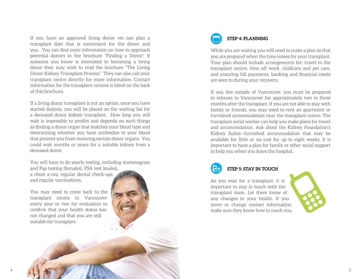If you have an approved living donor we can plan a transplant date that is convenient for the donor and you. You can find more information on how to approach potential donors in the brochure "Finding a Donor." If someone you know is interested in becoming a living donor they may wish to read the brochure "The Living Donor Kidney Transplant Process." They can also call your transplant centre directly for more information. Contact information for the transplant centres is listed on the back of this brochure.

If a living donor transplant is not an option, once you have started dialysis, you will be placed on the waiting list for a deceased donor kidney transplant. How long you will wait is impossible to predict and depends on such things as finding a donor organ that matches your blood type and determining whether you have antibodies in your blood that prevent you from receiving certain donor organs. You could wait months or years for a suitable kidney from a deceased donor.

You will have to do yearly testing, including mammogram and Pap testing (females), PSA test (males), a chest x-ray, regular dental check-ups and regular vaccinations.

You may need to come back to the transplant centre in Vancouver every year or two for evaluation to confirm that your health status has not changed and that you are still suitable for transplant.

# **STEP 4: PLANNING**

While you are waiting you will need to make a plan so that you are prepared when the time comes for your transplant. Your plan should include arrangements for: travel to the transplant centre, time off work, childcare and pet care, and ensuring bill payments, banking and financial needs are seen to during your recovery.

If you live outside of Vancouver, you must be prepared to relocate to Vancouver for approximately two to three months after the transplant. If you are not able to stay with family or friends, you may need to rent an apartment or furnished accommodation near the transplant centre. The transplant social worker can help you make plans for travel and accommodation. Ask about the Kidney Foundation's Kidney Suites—furnished accommodation that may be available for little or no cost for up to eight weeks. It is important to have a plan for family or other social support to help you when you leave the hospital.



**STEP 5: STAY IN TOUCH**

As you wait for a transplant, it is important to stay in touch with the transplant team. Let them know of any changes in your health. If you move or change contact information make sure they know how to reach you.

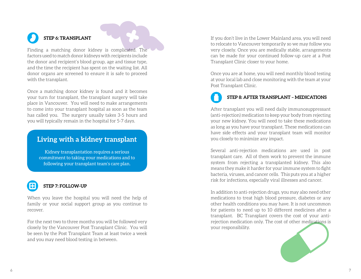# **STEP 6: TRANSPLANT**

Finding a matching donor kidney is complicated. The factors used to match donor kidneys with recipients include the donor and recipient's blood group, age and tissue type, and the time the recipient has spent on the waiting list. All donor organs are screened to ensure it is safe to proceed with the transplant.

Once a matching donor kidney is found and it becomes your turn for transplant, the transplant surgery will take place in Vancouver. You will need to make arrangements to come into your transplant hospital as soon as the team has called you. The surgery usually takes 3-5 hours and you will typically remain in the hospital for 5-7 days.

### **Living with a kidney transplant**

Kidney transplantation requires a serious commitment to taking your medications and to following your transplant team's care plan.



#### **STEP 7: FOLLOW-UP**

When you leave the hospital you will need the help of family or your social support group as you continue to recover.

For the next two to three months you will be followed very closely by the Vancouver Post Transplant Clinic. You will be seen by the Post Transplant Team at least twice a week and you may need blood testing in between.

If you don't live in the Lower Mainland area, you will need to relocate to Vancouver temporarily so we may follow you very closely. Once you are medically stable, arrangements can be made for your continued follow-up care at a Post Transplant Clinic closer to your home.

Once you are at home, you will need monthly blood testing at your local lab and close monitoring with the team at your Post Transplant Clinic.

# **STEP 8: AFTER TRANSPLANT – MEDICATIONS**

After transplant you will need daily immunosuppressant (anti-rejection) medication to keep your body from rejecting your new kidney. You will need to take these medications as long as you have your transplant. These medications can have side effects and your transplant team will monitor you closely to minimize any impact.

Several anti-rejection medications are used in post transplant care. All of them work to prevent the immune system from rejecting a transplanted kidney. This also means they make it harder for your immune system to fight bacteria, viruses, and cancer cells. This puts you at a higher risk for infections, especially viral illnesses and cancer.

In addition to anti-rejection drugs, you may also need other medications to treat high blood pressure, diabetes or any other health conditions you may have. It is not uncommon for patients to need up to 10 different medicines after a transplant. BC Transplant covers the cost of your antirejection medication only. The cost of other medications is your responsibility.

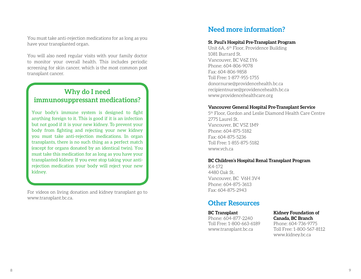You must take anti-rejection medications for as long as you have your transplanted organ.

You will also need regular visits with your family doctor to monitor your overall health. This includes periodic screening for skin cancer, which is the most common post transplant cancer.

# **Why do I need immunosuppressant medications?**

Your body's immune system is designed to fight anything foreign to it. This is good if it is an infection but not good if it is your new kidney. To prevent your body from fighting and rejecting your new kidney you must take anti-rejection medications. In organ transplants, there is no such thing as a perfect match (except for organs donated by an identical twin). You must take this medication for as long as you have your transplanted kidney. If you ever stop taking your antirejection medication your body will reject your new kidney.

For videos on living donation and kidney transplant go to [www.transplant.bc.ca.](http://www.transplant.bc.ca.)

# **Need more information?**

#### **St. Paul's Hospital Pre-Transplant Program**

Unit 6A, 6th Floor, Providence Building 1081 Burrard St. Vancouver, BC V6Z 1Y6 Phone: 604-806-9078 Fax: 604-806-9858 Toll Free: 1-877-955-1755 [donornurse@providencehealth.bc.ca](mailto:donornurse%40providencehealth.bc.ca?subject=Query%20from%20BCT%20booklet) [recipientnurse@providencehealth.bc.ca](mailto:recipientnurse%40providencehealth.bc.ca?subject=Query%20from%20BCT%20booklet) [www.providencehealthcare.org](http://www.providencehealthcare.org)

#### **Vancouver General Hospital Pre-Transplant Service**

5th Floor, Gordon and Leslie Diamond Health Care Centre 2775 Laurel St. Vancouver, BC V5Z 1M9 Phone: 604-875-5182 Fax: 604-875-5236 Toll Free: 1-855-875-5182 [www.vch.ca](http://www.vch.ca)

#### **BC Children's Hospital Renal Transplant Program**

K4-172 4480 Oak St. Vancouver, BC V6H 3V4 Phone: 604-875-3613 Fax: 604-875-2943

### **Other Resources**

**BC Transplant**  Phone: 604-877-2240 Toll Free: 1-800-663-6189 [www.transplant.bc.ca](http://www.transplant.bc.ca)

#### **Kidney Foundation of Canada, BC Branch**

Phone: 604-736-9775 Toll Free: 1-800-567-8112 [www.kidney.bc.ca](http://www.kidney.bc.ca)